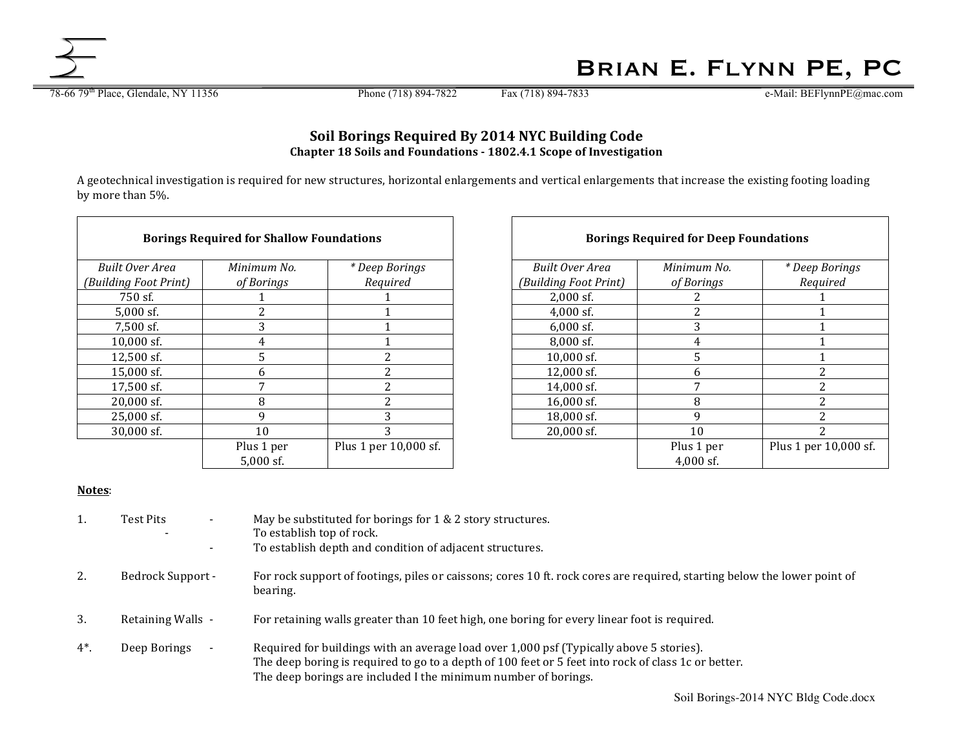Brian E. Flynn PE, PC

78-66 79<sup>th</sup> Place, Glendale, NY 11356 Phone (718) 894-7822 Fax (718) 894-7833 e-Mail: BEFlynnPE@mac.com

## **Soil Borings Required By 2014 NYC Building Code Chapter 18 Soils and Foundations - 1802.4.1 Scope of Investigation**

A geotechnical investigation is required for new structures, horizontal enlargements and vertical enlargements that increase the existing footing loading by more than 5%.

|                        | <b>Borings Required for Shallow Foundations</b> |                       |                       | <b>Borings Required for Deep Foundations</b> |                 |
|------------------------|-------------------------------------------------|-----------------------|-----------------------|----------------------------------------------|-----------------|
| <b>Built Over Area</b> | Minimum No.                                     | * Deep Borings        | Built Over Area       | Minimum No.                                  | * Deep <i>E</i> |
| (Building Foot Print)  | of Borings                                      | Required              | (Building Foot Print) | of Borings                                   | Regu            |
| 750 sf.                |                                                 |                       | $2,000$ sf.           |                                              |                 |
| $5,000$ sf.            | っ                                               |                       | $4,000$ sf.           | 2                                            |                 |
| $7.500$ sf.            | 3                                               |                       | $6.000$ sf.           | 3                                            |                 |
| $10,000$ sf.           | 4                                               |                       | 8,000 sf.             | 4                                            |                 |
| $12,500$ sf.           | 5                                               | ŋ                     | $10,000$ sf.          | 5                                            |                 |
| 15,000 sf.             | 6                                               |                       | $12,000$ sf.          | 6                                            |                 |
| 17,500 sf.             | 7                                               |                       | 14,000 sf.            |                                              |                 |
| $20,000$ sf.           | 8                                               |                       | $16,000$ sf.          | 8                                            |                 |
| $25,000$ sf.           | 9                                               | 3                     | $18,000$ sf.          | 9                                            |                 |
| 30,000 sf.             | 10                                              | 3                     | $20,000$ sf.          | 10                                           |                 |
|                        | Plus 1 per                                      | Plus 1 per 10,000 sf. |                       | Plus 1 per                                   | Plus 1 per      |
|                        | $5,000$ sf.                                     |                       |                       | $4,000$ sf.                                  |                 |

| <b>ndations</b>       |  | <b>Borings Required for Deep Foundations</b> |             |                       |  |
|-----------------------|--|----------------------------------------------|-------------|-----------------------|--|
| * Deep Borings        |  | Built Over Area                              | Minimum No. | * Deep Borings        |  |
| Required              |  | (Building Foot Print)                        | of Borings  | Required              |  |
|                       |  | $2,000$ sf.                                  | 2           |                       |  |
|                       |  | $4,000$ sf.                                  | 2           |                       |  |
|                       |  | $6,000$ sf.                                  | 3           |                       |  |
|                       |  | 8,000 sf.                                    | 4           |                       |  |
| 2                     |  | $10,000$ sf.                                 | 5           |                       |  |
| 2                     |  | 12,000 sf.                                   | 6           | $\overline{2}$        |  |
| 2                     |  | 14,000 sf.                                   | 7           | 2                     |  |
| $\overline{c}$        |  | 16,000 sf.                                   | 8           | $\overline{2}$        |  |
| 3                     |  | 18,000 sf.                                   | 9           | 2                     |  |
| 3                     |  | 20,000 sf.                                   | 10          | 2                     |  |
| Plus 1 per 10,000 sf. |  |                                              | Plus 1 per  | Plus 1 per 10,000 sf. |  |
|                       |  |                                              | $4,000$ sf. |                       |  |

## **Notes**:

| 1.    | Test Pits<br>۰.   | May be substituted for borings for 1 & 2 story structures.<br>To establish top of rock.<br>To establish depth and condition of adjacent structures.                                                                                                              |
|-------|-------------------|------------------------------------------------------------------------------------------------------------------------------------------------------------------------------------------------------------------------------------------------------------------|
| 2.    | Bedrock Support - | For rock support of footings, piles or caissons; cores 10 ft. rock cores are required, starting below the lower point of<br>bearing.                                                                                                                             |
| 3.    | Retaining Walls - | For retaining walls greater than 10 feet high, one boring for every linear foot is required.                                                                                                                                                                     |
| $4^*$ | Deep Borings      | Required for buildings with an average load over 1,000 psf (Typically above 5 stories).<br>The deep boring is required to go to a depth of 100 feet or 5 feet into rock of class 1c or better.<br>The deep borings are included I the minimum number of borings. |